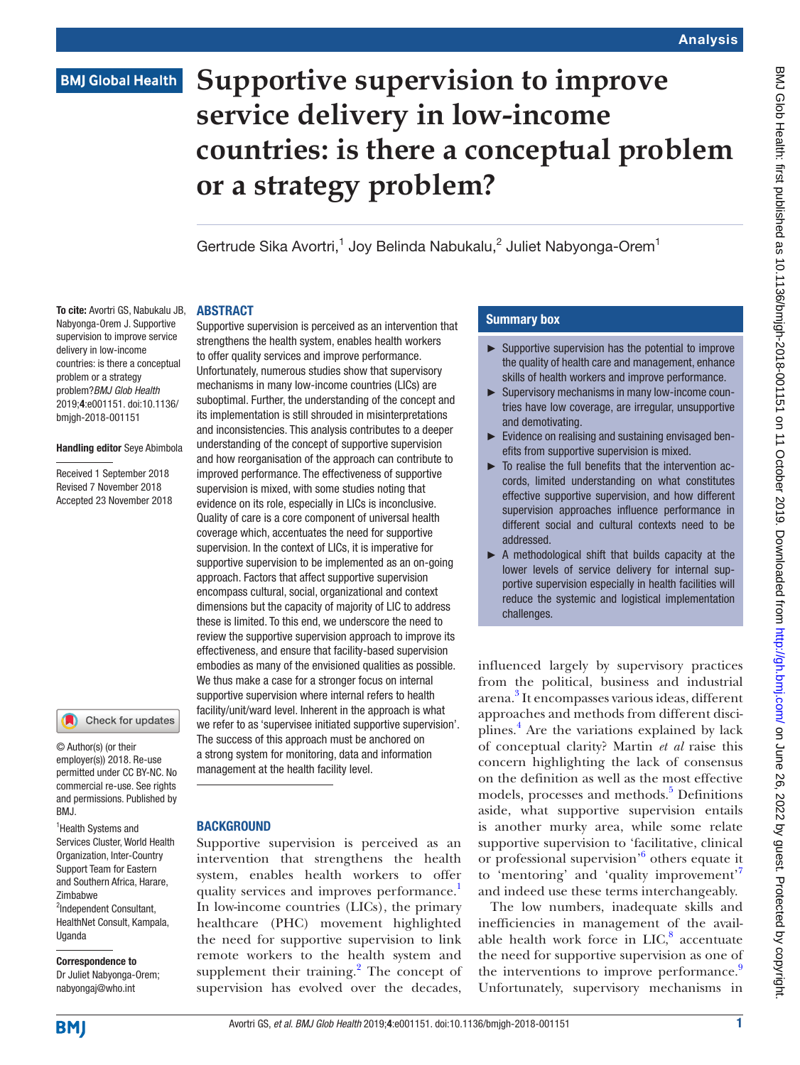# **BMJ Global Health**

# **Supportive supervision to improve service delivery in low-income countries: is there a conceptual problem or a strategy problem?**

Gertrude Sika Avortri,<sup>1</sup> Joy Belinda Nabukalu,<sup>2</sup> Juliet Nabyonga-Orem<sup>1</sup>

#### **ABSTRACT**

To cite: Avortri GS, Nabukalu JB, Nabyonga-Orem J. Supportive supervision to improve service delivery in low-income countries: is there a conceptual problem or a strategy problem?*BMJ Glob Health* 2019;4:e001151. doi:10.1136/ bmjgh-2018-001151

#### Handling editor Seye Abimbola

Received 1 September 2018 Revised 7 November 2018 Accepted 23 November 2018



© Author(s) (or their employer(s)) 2018. Re-use permitted under CC BY-NC. No commercial re-use. See rights and permissions. Published by BMJ.

<sup>1</sup>Health Systems and Services Cluster, World Health Organization, Inter-Country Support Team for Eastern and Southern Africa, Harare, Zimbabwe <sup>2</sup>Independent Consultant, HealthNet Consult, Kampala, Uganda

Correspondence to Dr Juliet Nabyonga-Orem; nabyongaj@who.int

Supportive supervision is perceived as an intervention that strengthens the health system, enables health workers to offer quality services and improve performance. Unfortunately, numerous studies show that supervisory mechanisms in many low-income countries (LICs) are suboptimal. Further, the understanding of the concept and its implementation is still shrouded in misinterpretations and inconsistencies. This analysis contributes to a deeper understanding of the concept of supportive supervision and how reorganisation of the approach can contribute to improved performance. The effectiveness of supportive supervision is mixed, with some studies noting that evidence on its role, especially in LICs is inconclusive. Quality of care is a core component of universal health coverage which, accentuates the need for supportive supervision. In the context of LICs, it is imperative for supportive supervision to be implemented as an on-going approach. Factors that affect supportive supervision encompass cultural, social, organizational and context dimensions but the capacity of majority of LIC to address these is limited. To this end, we underscore the need to review the supportive supervision approach to improve its effectiveness, and ensure that facility-based supervision embodies as many of the envisioned qualities as possible. We thus make a case for a stronger focus on internal supportive supervision where internal refers to health facility/unit/ward level. Inherent in the approach is what we refer to as 'supervisee initiated supportive supervision'. The success of this approach must be anchored on a strong system for monitoring, data and information management at the health facility level.

#### **BACKGROUND**

Supportive supervision is perceived as an intervention that strengthens the health system, enables health workers to offer quality services and improves performance.<sup>1</sup> In low-income countries (LICs), the primary healthcare (PHC) movement highlighted the need for supportive supervision to link remote workers to the health system and supplement their training. $^{2}$  The concept of supervision has evolved over the decades,

# Summary box

- $\blacktriangleright$  Supportive supervision has the potential to improve the quality of health care and management, enhance skills of health workers and improve performance.
- ► Supervisory mechanisms in many low-income countries have low coverage, are irregular, unsupportive and demotivating.
- ► Evidence on realising and sustaining envisaged benefits from supportive supervision is mixed.
- ► To realise the full benefits that the intervention accords, limited understanding on what constitutes effective supportive supervision, and how different supervision approaches influence performance in different social and cultural contexts need to be addressed.
- ► A methodological shift that builds capacity at the lower levels of service delivery for internal supportive supervision especially in health facilities will reduce the systemic and logistical implementation challenges.

influenced largely by supervisory practices from the political, business and industrial arena. [3](#page-4-2) It encompasses various ideas, different approaches and methods from different disciplines.[4](#page-4-3) Are the variations explained by lack of conceptual clarity? Martin *et al* raise this concern highlighting the lack of consensus on the definition as well as the most effective models, processes and methods.<sup>[5](#page-4-4)</sup> Definitions aside, what supportive supervision entails is another murky area, while some relate supportive supervision to 'facilitative, clinical or professional supervision'<sup>6</sup> others equate it to 'mentoring' and 'quality improvement'<sup>[7](#page-4-6)</sup> and indeed use these terms interchangeably.

The low numbers, inadequate skills and inefficiencies in management of the available health work force in  $LIC$ ,<sup>[8](#page-4-7)</sup> accentuate the need for supportive supervision as one of the interventions to improve performance.<sup>[9](#page-4-8)</sup> Unfortunately, supervisory mechanisms in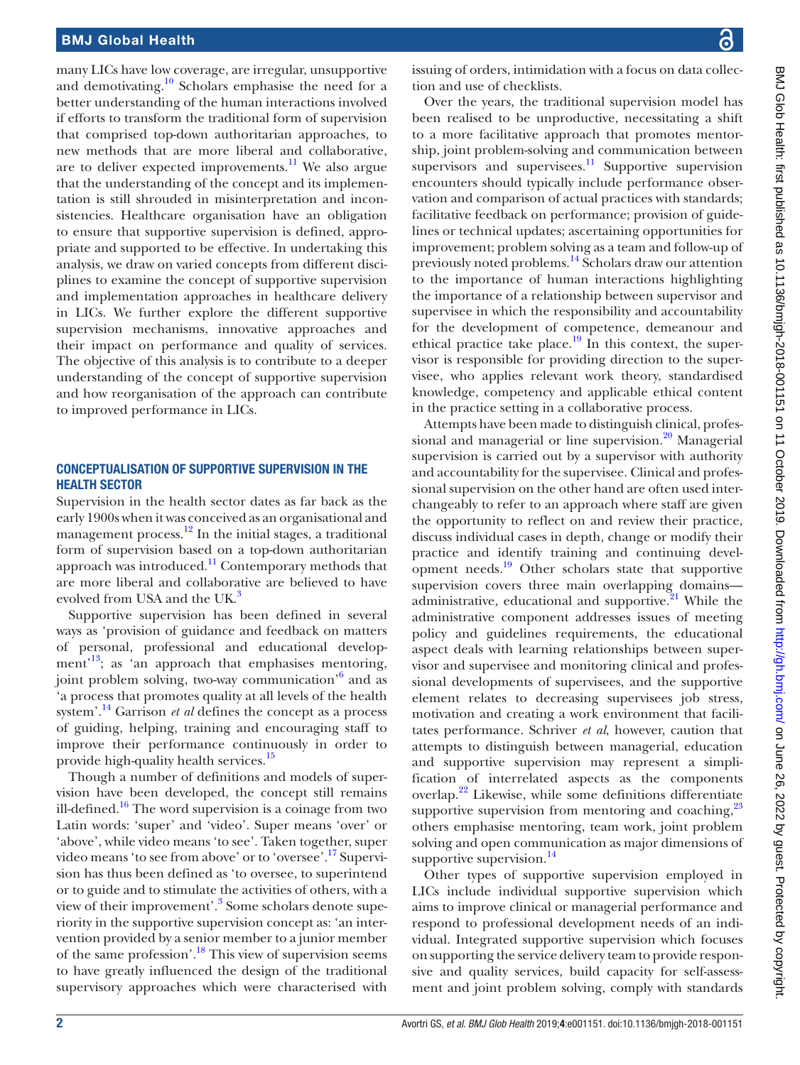#### BMJ Global Health

many LICs have low coverage, are irregular, unsupportive and demotivating.<sup>10</sup> Scholars emphasise the need for a better understanding of the human interactions involved if efforts to transform the traditional form of supervision that comprised top-down authoritarian approaches, to new methods that are more liberal and collaborative, are to deliver expected improvements.<sup>11</sup> We also argue that the understanding of the concept and its implementation is still shrouded in misinterpretation and inconsistencies. Healthcare organisation have an obligation to ensure that supportive supervision is defined, appropriate and supported to be effective. In undertaking this analysis, we draw on varied concepts from different disciplines to examine the concept of supportive supervision and implementation approaches in healthcare delivery in LICs. We further explore the different supportive supervision mechanisms, innovative approaches and their impact on performance and quality of services. The objective of this analysis is to contribute to a deeper understanding of the concept of supportive supervision and how reorganisation of the approach can contribute to improved performance in LICs.

### Conceptualisation of supportive supervision in the health sector

Supervision in the health sector dates as far back as the early 1900s when it was conceived as an organisational and management process.<sup>12</sup> In the initial stages, a traditional form of supervision based on a top-down authoritarian approach was introduced.[11](#page-4-10) Contemporary methods that are more liberal and collaborative are believed to have evolved from USA and the UK.<sup>3</sup>

Supportive supervision has been defined in several ways as 'provision of guidance and feedback on matters of personal, professional and educational development<sup>13</sup>; as 'an approach that emphasises mentoring, joint problem solving, two-way communication<sup>,6</sup> and as 'a process that promotes quality at all levels of the health system'.[14](#page-4-13) Garrison *et al* defines the concept as a process of guiding, helping, training and encouraging staff to improve their performance continuously in order to provide high-quality health services.<sup>15</sup>

Though a number of definitions and models of supervision have been developed, the concept still remains ill-defined.<sup>16</sup> The word supervision is a coinage from two Latin words: 'super' and 'video'. Super means 'over' or 'above', while video means 'to see'. Taken together, super video means 'to see from above' or to 'oversee'[.17](#page-4-16) Supervision has thus been defined as 'to oversee, to superintend or to guide and to stimulate the activities of others, with a view of their improvement'.<sup>3</sup> Some scholars denote superiority in the supportive supervision concept as: 'an intervention provided by a senior member to a junior member of the same profession'.<sup>18</sup> This view of supervision seems to have greatly influenced the design of the traditional supervisory approaches which were characterised with

issuing of orders, intimidation with a focus on data collection and use of checklists.

Over the years, the traditional supervision model has been realised to be unproductive, necessitating a shift to a more facilitative approach that promotes mentorship, joint problem-solving and communication between supervisors and supervisees. $\frac{11}{11}$  Supportive supervision encounters should typically include performance observation and comparison of actual practices with standards; facilitative feedback on performance; provision of guidelines or technical updates; ascertaining opportunities for improvement; problem solving as a team and follow-up of previously noted problems.<sup>[14](#page-4-13)</sup> Scholars draw our attention to the importance of human interactions highlighting the importance of a relationship between supervisor and supervisee in which the responsibility and accountability for the development of competence, demeanour and ethical practice take place.<sup>[19](#page-4-18)</sup> In this context, the supervisor is responsible for providing direction to the supervisee, who applies relevant work theory, standardised knowledge, competency and applicable ethical content in the practice setting in a collaborative process.

Attempts have been made to distinguish clinical, professional and managerial or line supervision.<sup>20</sup> Managerial supervision is carried out by a supervisor with authority and accountability for the supervisee. Clinical and professional supervision on the other hand are often used interchangeably to refer to an approach where staff are given the opportunity to reflect on and review their practice, discuss individual cases in depth, change or modify their practice and identify training and continuing devel-opment needs.<sup>[19](#page-4-18)</sup> Other scholars state that supportive supervision covers three main overlapping domains administrative, educational and supportive.<sup>21</sup> While the administrative component addresses issues of meeting policy and guidelines requirements, the educational aspect deals with learning relationships between supervisor and supervisee and monitoring clinical and professional developments of supervisees, and the supportive element relates to decreasing supervisees job stress, motivation and creating a work environment that facilitates performance. Schriver *et al*, however, caution that attempts to distinguish between managerial, education and supportive supervision may represent a simplification of interrelated aspects as the components overlap.[22](#page-4-21) Likewise, while some definitions differentiate supportive supervision from mentoring and coaching, $23$ others emphasise mentoring, team work, joint problem solving and open communication as major dimensions of supportive supervision.<sup>[14](#page-4-13)</sup>

Other types of supportive supervision employed in LICs include individual supportive supervision which aims to improve clinical or managerial performance and respond to professional development needs of an individual. Integrated supportive supervision which focuses on supporting the service delivery team to provide responsive and quality services, build capacity for self-assessment and joint problem solving, comply with standards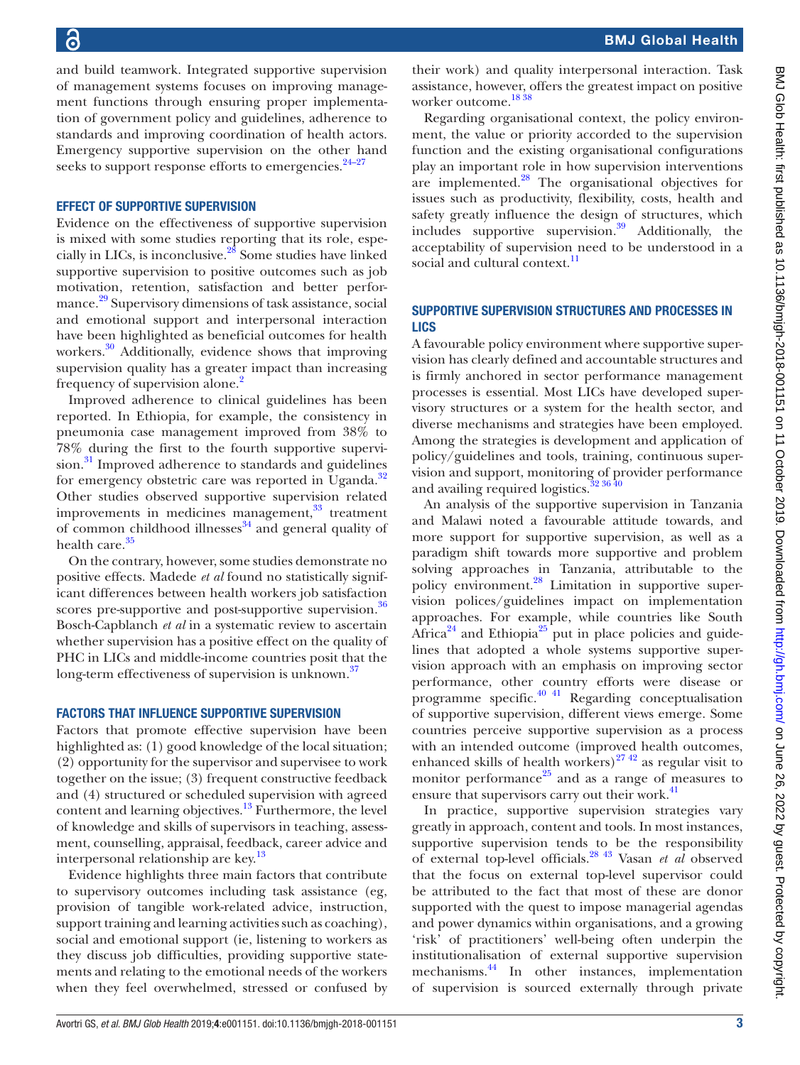**BMJ Global Health** 

and build teamwork. Integrated supportive supervision of management systems focuses on improving management functions through ensuring proper implementation of government policy and guidelines, adherence to standards and improving coordination of health actors. Emergency supportive supervision on the other hand seeks to support response efforts to emergencies. $24-27$ 

#### Effect of supportive supervision

Evidence on the effectiveness of supportive supervision is mixed with some studies reporting that its role, especially in LICs, is inconclusive.[28](#page-5-0) Some studies have linked supportive supervision to positive outcomes such as job motivation, retention, satisfaction and better performance.[29](#page-5-1) Supervisory dimensions of task assistance, social and emotional support and interpersonal interaction have been highlighted as beneficial outcomes for health workers.<sup>30</sup> Additionally, evidence shows that improving supervision quality has a greater impact than increasing frequency of supervision alone.<sup>2</sup>

Improved adherence to clinical guidelines has been reported. In Ethiopia, for example, the consistency in pneumonia case management improved from 38% to 78% during the first to the fourth supportive supervi-sion.<sup>[31](#page-5-3)</sup> Improved adherence to standards and guidelines for emergency obstetric care was reported in Uganda.<sup>[32](#page-5-4)</sup> Other studies observed supportive supervision related improvements in medicines management, $33$  treatment of common childhood illnesses $34$  and general quality of health care.<sup>35</sup>

On the contrary, however, some studies demonstrate no positive effects. Madede *et al* found no statistically significant differences between health workers job satisfaction scores pre-supportive and post-supportive supervision.<sup>[36](#page-5-8)</sup> Bosch-Capblanch *et al* in a systematic review to ascertain whether supervision has a positive effect on the quality of PHC in LICs and middle-income countries posit that the long-term effectiveness of supervision is unknown.<sup>[37](#page-5-9)</sup>

#### Factors that influence supportive supervision

Factors that promote effective supervision have been highlighted as: (1) good knowledge of the local situation; (2) opportunity for the supervisor and supervisee to work together on the issue; (3) frequent constructive feedback and (4) structured or scheduled supervision with agreed content and learning objectives.<sup>13</sup> Furthermore, the level of knowledge and skills of supervisors in teaching, assessment, counselling, appraisal, feedback, career advice and interpersonal relationship are key.<sup>[13](#page-4-12)</sup>

Evidence highlights three main factors that contribute to supervisory outcomes including task assistance (eg, provision of tangible work-related advice, instruction, support training and learning activities such as coaching), social and emotional support (ie, listening to workers as they discuss job difficulties, providing supportive statements and relating to the emotional needs of the workers when they feel overwhelmed, stressed or confused by

their work) and quality interpersonal interaction. Task assistance, however, offers the greatest impact on positive worker outcome.[18 38](#page-4-17)

Regarding organisational context, the policy environment, the value or priority accorded to the supervision function and the existing organisational configurations play an important role in how supervision interventions are implemented. $^{28}$  The organisational objectives for issues such as productivity, flexibility, costs, health and safety greatly influence the design of structures, which includes supportive supervision.<sup>39</sup> Additionally, the acceptability of supervision need to be understood in a social and cultural context.<sup>[11](#page-4-10)</sup>

### Supportive supervision structures and processes in LICs

A favourable policy environment where supportive supervision has clearly defined and accountable structures and is firmly anchored in sector performance management processes is essential. Most LICs have developed supervisory structures or a system for the health sector, and diverse mechanisms and strategies have been employed. Among the strategies is development and application of policy/guidelines and tools, training, continuous supervision and support, monitoring of provider performance and availing required logistics.<sup>32</sup> 36 40

An analysis of the supportive supervision in Tanzania and Malawi noted a favourable attitude towards, and more support for supportive supervision, as well as a paradigm shift towards more supportive and problem solving approaches in Tanzania, attributable to the policy environment.<sup>28</sup> Limitation in supportive supervision polices/guidelines impact on implementation approaches. For example, while countries like South Africa<sup>24</sup> and Ethiopia<sup>25</sup> put in place policies and guidelines that adopted a whole systems supportive supervision approach with an emphasis on improving sector performance, other country efforts were disease or programme specific. $40 \frac{4}{1}$  Regarding conceptualisation of supportive supervision, different views emerge. Some countries perceive supportive supervision as a process with an intended outcome (improved health outcomes, enhanced skills of health workers) $2742$  as regular visit to monitor performance $25$  and as a range of measures to ensure that supervisors carry out their work.<sup>[41](#page-5-12)</sup>

In practice, supportive supervision strategies vary greatly in approach, content and tools. In most instances, supportive supervision tends to be the responsibility of external top-level officials.[28 43](#page-5-0) Vasan *et al* observed that the focus on external top-level supervisor could be attributed to the fact that most of these are donor supported with the quest to impose managerial agendas and power dynamics within organisations, and a growing 'risk' of practitioners' well-being often underpin the institutionalisation of external supportive supervision mechanisms.[44](#page-5-13) In other instances, implementation of supervision is sourced externally through private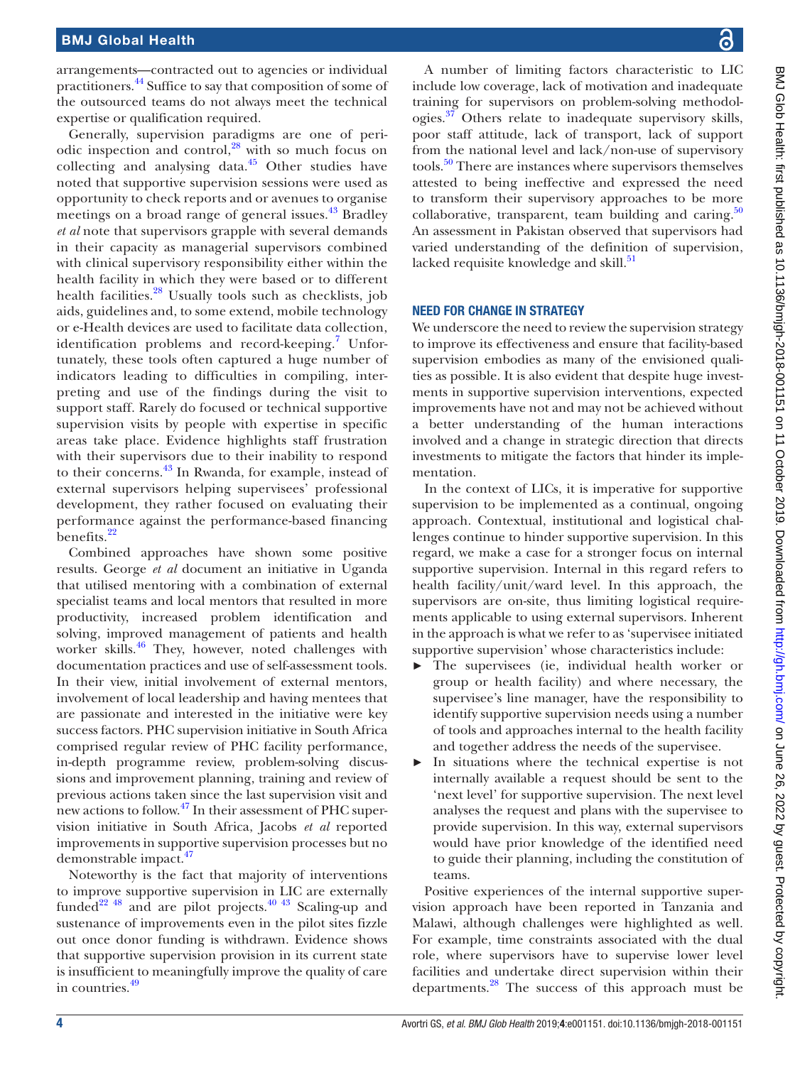arrangements—contracted out to agencies or individual practitioners[.44](#page-5-13) Suffice to say that composition of some of the outsourced teams do not always meet the technical expertise or qualification required.

Generally, supervision paradigms are one of peri-odic inspection and control,<sup>[28](#page-5-0)</sup> with so much focus on collecting and analysing data.[45](#page-5-14) Other studies have noted that supportive supervision sessions were used as opportunity to check reports and or avenues to organise meetings on a broad range of general issues.<sup>43</sup> Bradley *et al* note that supervisors grapple with several demands in their capacity as managerial supervisors combined with clinical supervisory responsibility either within the health facility in which they were based or to different health facilities.<sup>[28](#page-5-0)</sup> Usually tools such as checklists, job aids, guidelines and, to some extend, mobile technology or e-Health devices are used to facilitate data collection, identification problems and record-keeping.<sup>[7](#page-4-6)</sup> Unfortunately, these tools often captured a huge number of indicators leading to difficulties in compiling, interpreting and use of the findings during the visit to support staff. Rarely do focused or technical supportive supervision visits by people with expertise in specific areas take place. Evidence highlights staff frustration with their supervisors due to their inability to respond to their concerns.<sup>43</sup> In Rwanda, for example, instead of external supervisors helping supervisees' professional development, they rather focused on evaluating their performance against the performance-based financing benefits.<sup>[22](#page-4-21)</sup>

Combined approaches have shown some positive results. George *et al* document an initiative in Uganda that utilised mentoring with a combination of external specialist teams and local mentors that resulted in more productivity, increased problem identification and solving, improved management of patients and health worker skills. $46$  They, however, noted challenges with documentation practices and use of self-assessment tools. In their view, initial involvement of external mentors, involvement of local leadership and having mentees that are passionate and interested in the initiative were key success factors. PHC supervision initiative in South Africa comprised regular review of PHC facility performance, in-depth programme review, problem-solving discussions and improvement planning, training and review of previous actions taken since the last supervision visit and new actions to follow.<sup>[47](#page-5-17)</sup> In their assessment of PHC supervision initiative in South Africa, Jacobs *et al* reported improvements in supportive supervision processes but no demonstrable impact.[47](#page-5-17)

Noteworthy is the fact that majority of interventions to improve supportive supervision in LIC are externally funded<sup>22 48</sup> and are pilot projects.<sup>40 43</sup> Scaling-up and sustenance of improvements even in the pilot sites fizzle out once donor funding is withdrawn. Evidence shows that supportive supervision provision in its current state is insufficient to meaningfully improve the quality of care in countries.[49](#page-5-18)

BMJ Glob Health: first published as 10.1136/bmjgh-2018-001151 on 11 October 2019. Downloaded from http://gh.bmj.com/ on June 26, 2022 by guest. Protected by copyrigh BMJ Glob Health: first published as 10.1136/bmjgh-2018-001151 on 11 October 2019. Downloaded from <http://gh.bmj.com/> on June 26, 2022 by guest. Protected by copyright

A number of limiting factors characteristic to LIC include low coverage, lack of motivation and inadequate training for supervisors on problem-solving methodologies.[37](#page-5-9) Others relate to inadequate supervisory skills, poor staff attitude, lack of transport, lack of support from the national level and lack/non-use of supervisory tools.<sup>50</sup> There are instances where supervisors themselves attested to being ineffective and expressed the need to transform their supervisory approaches to be more collaborative, transparent, team building and caring. $50$ An assessment in Pakistan observed that supervisors had varied understanding of the definition of supervision, lacked requisite knowledge and skill.<sup>[51](#page-5-20)</sup>

# Need for change in strategy

We underscore the need to review the supervision strategy to improve its effectiveness and ensure that facility-based supervision embodies as many of the envisioned qualities as possible. It is also evident that despite huge investments in supportive supervision interventions, expected improvements have not and may not be achieved without a better understanding of the human interactions involved and a change in strategic direction that directs investments to mitigate the factors that hinder its implementation.

In the context of LICs, it is imperative for supportive supervision to be implemented as a continual, ongoing approach. Contextual, institutional and logistical challenges continue to hinder supportive supervision. In this regard, we make a case for a stronger focus on internal supportive supervision. Internal in this regard refers to health facility/unit/ward level. In this approach, the supervisors are on-site, thus limiting logistical requirements applicable to using external supervisors. Inherent in the approach is what we refer to as 'supervisee initiated supportive supervision' whose characteristics include:

- ► The supervisees (ie, individual health worker or group or health facility) and where necessary, the supervisee's line manager, have the responsibility to identify supportive supervision needs using a number of tools and approaches internal to the health facility and together address the needs of the supervisee.
- ► In situations where the technical expertise is not internally available a request should be sent to the 'next level' for supportive supervision. The next level analyses the request and plans with the supervisee to provide supervision. In this way, external supervisors would have prior knowledge of the identified need to guide their planning, including the constitution of teams.

Positive experiences of the internal supportive supervision approach have been reported in Tanzania and Malawi, although challenges were highlighted as well. For example, time constraints associated with the dual role, where supervisors have to supervise lower level facilities and undertake direct supervision within their departments.[28](#page-5-0) The success of this approach must be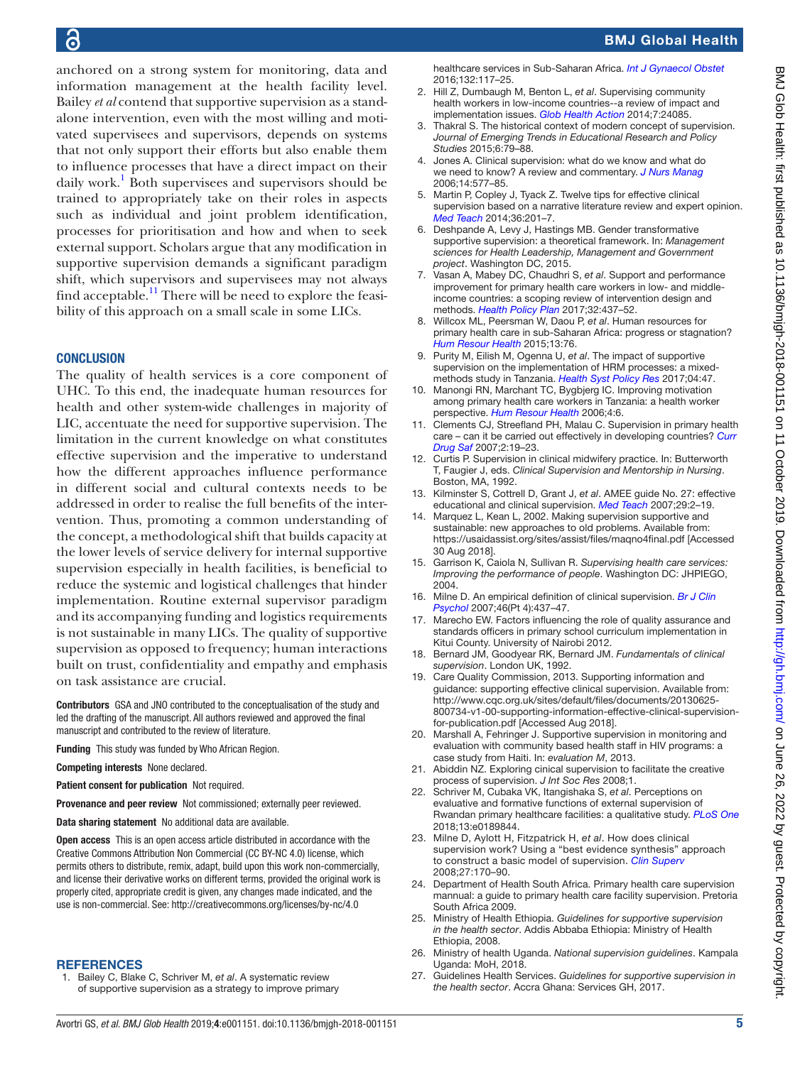anchored on a strong system for monitoring, data and information management at the health facility level. Bailey *et al* contend that supportive supervision as a standalone intervention, even with the most willing and motivated supervisees and supervisors, depends on systems that not only support their efforts but also enable them to influence processes that have a direct impact on their daily work.<sup>[1](#page-4-0)</sup> Both supervisees and supervisors should be trained to appropriately take on their roles in aspects such as individual and joint problem identification, processes for prioritisation and how and when to seek external support. Scholars argue that any modification in supportive supervision demands a significant paradigm shift, which supervisors and supervisees may not always find acceptable.<sup>11</sup> There will be need to explore the feasibility of this approach on a small scale in some LICs.

#### **CONCLUSION**

The quality of health services is a core component of UHC. To this end, the inadequate human resources for health and other system-wide challenges in majority of LIC, accentuate the need for supportive supervision. The limitation in the current knowledge on what constitutes effective supervision and the imperative to understand how the different approaches influence performance in different social and cultural contexts needs to be addressed in order to realise the full benefits of the intervention. Thus, promoting a common understanding of the concept, a methodological shift that builds capacity at the lower levels of service delivery for internal supportive supervision especially in health facilities, is beneficial to reduce the systemic and logistical challenges that hinder implementation. Routine external supervisor paradigm and its accompanying funding and logistics requirements is not sustainable in many LICs. The quality of supportive supervision as opposed to frequency; human interactions built on trust, confidentiality and empathy and emphasis on task assistance are crucial.

Contributors GSA and JNO contributed to the conceptualisation of the study and led the drafting of the manuscript. All authors reviewed and approved the final manuscript and contributed to the review of literature.

- Funding This study was funded by Who African Region.
- Competing interests None declared.
- Patient consent for publication Not required.
- Provenance and peer review Not commissioned; externally peer reviewed.
- Data sharing statement No additional data are available.

Open access This is an open access article distributed in accordance with the Creative Commons Attribution Non Commercial (CC BY-NC 4.0) license, which permits others to distribute, remix, adapt, build upon this work non-commercially, and license their derivative works on different terms, provided the original work is properly cited, appropriate credit is given, any changes made indicated, and the use is non-commercial. See: <http://creativecommons.org/licenses/by-nc/4.0>

#### **REFERENCES**

<span id="page-4-0"></span>1. Bailey C, Blake C, Schriver M, *et al*. A systematic review of supportive supervision as a strategy to improve primary healthcare services in Sub-Saharan Africa. *[Int J Gynaecol Obstet](http://dx.doi.org/10.1016/j.ijgo.2015.10.004)* 2016;132:117–25.

- <span id="page-4-1"></span>2. Hill Z, Dumbaugh M, Benton L, *et al*. Supervising community health workers in low-income countries--a review of impact and implementation issues. *[Glob Health Action](http://dx.doi.org/10.3402/gha.v7.24085)* 2014;7:24085.
- <span id="page-4-2"></span>Thakral S. The historical context of modern concept of supervision. *Journal of Emerging Trends in Educational Research and Policy Studies* 2015;6:79–88.
- <span id="page-4-3"></span>4. Jones A. Clinical supervision: what do we know and what do we need to know? A review and commentary. *[J Nurs Manag](http://dx.doi.org/10.1111/j.1365-2934.2006.00716.x)* 2006;14:577–85.
- <span id="page-4-4"></span>5. Martin P, Copley J, Tyack Z. Twelve tips for effective clinical supervision based on a narrative literature review and expert opinion. *[Med Teach](http://dx.doi.org/10.3109/0142159X.2013.852166)* 2014;36:201–7.
- <span id="page-4-5"></span>6. Deshpande A, Levy J, Hastings MB. Gender transformative supportive supervision: a theoretical framework. In: *Management sciences for Health Leadership, Management and Government project*. Washington DC, 2015.
- <span id="page-4-6"></span>7. Vasan A, Mabey DC, Chaudhri S, *et al*. Support and performance improvement for primary health care workers in low- and middleincome countries: a scoping review of intervention design and methods. *[Health Policy Plan](http://dx.doi.org/10.1093/heapol/czw144)* 2017;32:437–52.
- <span id="page-4-7"></span>8. Willcox ML, Peersman W, Daou P, *et al*. Human resources for primary health care in sub-Saharan Africa: progress or stagnation? *[Hum Resour Health](http://dx.doi.org/10.1186/s12960-015-0073-8)* 2015;13:76.
- <span id="page-4-8"></span>9. Purity M, Eilish M, Ogenna U, *et al*. The impact of supportive supervision on the implementation of HRM processes: a mixedmethods study in Tanzania. *[Health Syst Policy Res](http://dx.doi.org/10.21767/2254-9137.100066)* 2017;04:47.
- <span id="page-4-9"></span>10. Manongi RN, Marchant TC, Bygbjerg IC. Improving motivation among primary health care workers in Tanzania: a health worker perspective. *[Hum Resour Health](http://dx.doi.org/10.1186/1478-4491-4-6)* 2006;4:6.
- <span id="page-4-10"></span>11. Clements CJ, Streefland PH, Malau C. Supervision in primary health care – can it be carried out effectively in developing countries? *[Curr](http://dx.doi.org/10.2174/157488607779315435)  [Drug Saf](http://dx.doi.org/10.2174/157488607779315435)* 2007;2:19–23.
- <span id="page-4-11"></span>12. Curtis P. Supervision in clinical midwifery practice. In: Butterworth T, Faugier J, eds. *Clinical Supervision and Mentorship in Nursing*. Boston, MA, 1992.
- <span id="page-4-12"></span>13. Kilminster S, Cottrell D, Grant J, *et al*. AMEE guide No. 27: effective educational and clinical supervision. *[Med Teach](http://dx.doi.org/10.1080/01421590701210907)* 2007;29:2–19.
- <span id="page-4-13"></span>14. Marquez L, Kean L, 2002. Making supervision supportive and sustainable: new approaches to old problems. Available from: <https://usaidassist.org/sites/assist/files/maqno4final.pdf>[Accessed 30 Aug 2018].
- <span id="page-4-14"></span>15. Garrison K, Caiola N, Sullivan R. *Supervising health care services: Improving the performance of people*. Washington DC: JHPIEGO, 2004.
- <span id="page-4-15"></span>16. Milne D. An empirical definition of clinical supervision. *[Br J Clin](http://dx.doi.org/10.1348/014466507X197415)  [Psychol](http://dx.doi.org/10.1348/014466507X197415)* 2007;46(Pt 4):437–47.
- <span id="page-4-16"></span>17. Marecho EW. Factors influencing the role of quality assurance and standards officers in primary school curriculum implementation in Kitui County. University of Nairobi 2012.
- <span id="page-4-17"></span>18. Bernard JM, Goodyear RK, Bernard JM. *Fundamentals of clinical supervision*. London UK, 1992.
- <span id="page-4-18"></span>19. Care Quality Commission, 2013. Supporting information and guidance: supporting effective clinical supervision. Available from: [http://www.cqc.org.uk/sites/default/files/documents/20130625-](http://www.cqc.org.uk/sites/default/files/documents/20130625-800734-v1-00-supporting-information-effective-clinical-supervision-for-publication.pdf) [800734-v1-00-supporting-information-effective-clinical-supervision](http://www.cqc.org.uk/sites/default/files/documents/20130625-800734-v1-00-supporting-information-effective-clinical-supervision-for-publication.pdf)[for-publication.pdf](http://www.cqc.org.uk/sites/default/files/documents/20130625-800734-v1-00-supporting-information-effective-clinical-supervision-for-publication.pdf) [Accessed Aug 2018].
- <span id="page-4-19"></span>20. Marshall A, Fehringer J. Supportive supervision in monitoring and evaluation with community based health staff in HIV programs: a case study from Haiti. In: *evaluation M*, 2013.
- <span id="page-4-20"></span>21. Abiddin NZ. Exploring cinical supervision to facilitate the creative process of supervision. *J Int Soc Res* 2008;1.
- <span id="page-4-21"></span>22. Schriver M, Cubaka VK, Itangishaka S, *et al*. Perceptions on evaluative and formative functions of external supervision of Rwandan primary healthcare facilities: a qualitative study. *[PLoS One](http://dx.doi.org/10.1371/journal.pone.0189844)* 2018;13:e0189844.
- <span id="page-4-22"></span>23. Milne D, Aylott H, Fitzpatrick H, *et al*. How does clinical supervision work? Using a "best evidence synthesis" approach to construct a basic model of supervision. *[Clin Superv](http://dx.doi.org/10.1080/07325220802487915)* 2008;27:170–90.
- <span id="page-4-23"></span>24. Department of Health South Africa. Primary health care supervision mannual: a guide to primary health care facility supervision. Pretoria South Africa 2009.
- <span id="page-4-24"></span>25. Ministry of Health Ethiopia. *Guidelines for supportive supervision in the health sector*. Addis Abbaba Ethiopia: Ministry of Health Ethiopia, 2008.
- 26. Ministry of health Uganda. *National supervision guidelines*. Kampala Uganda: MoH, 2018.
- <span id="page-4-25"></span>27. Guidelines Health Services. *Guidelines for supportive supervision in the health sector*. Accra Ghana: Services GH, 2017.